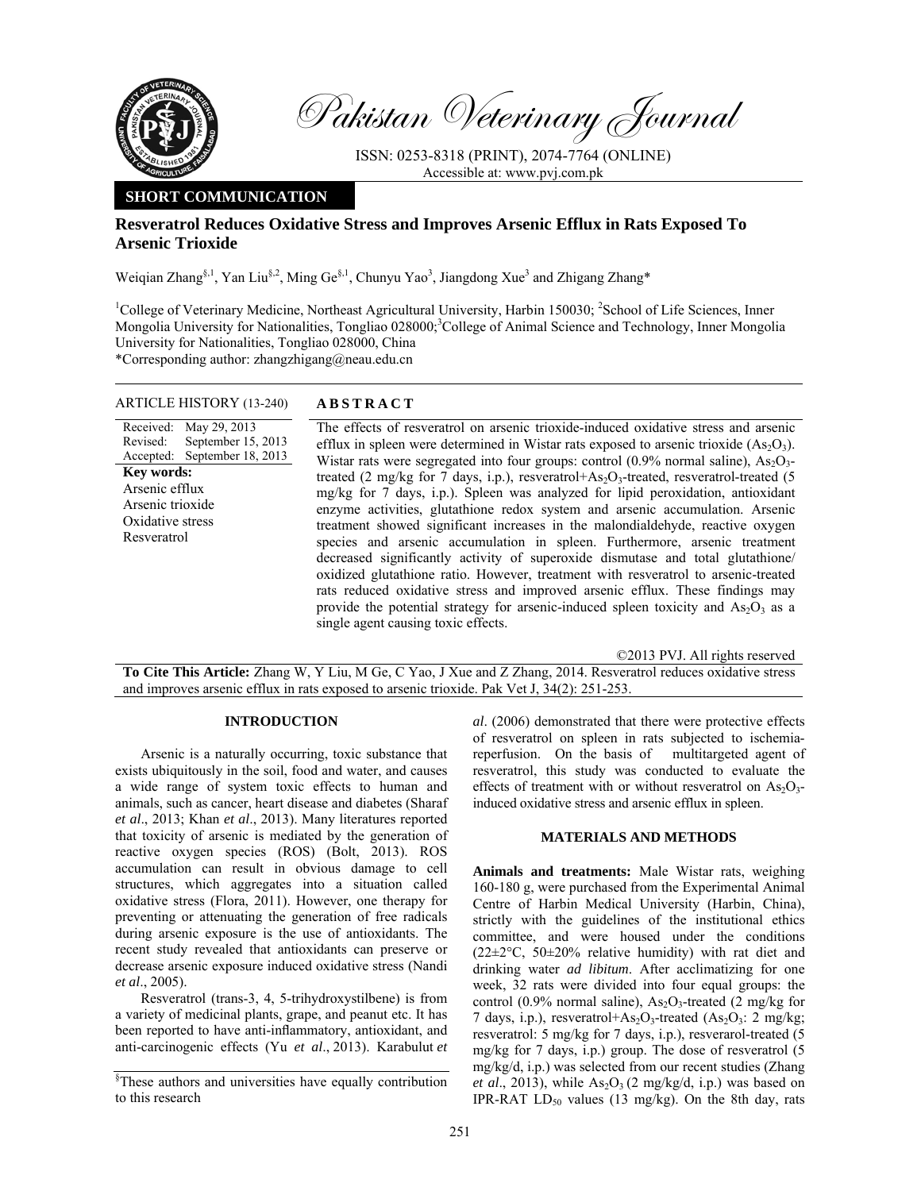

Pakistan Veterinary Journal

ISSN: 0253-8318 (PRINT), 2074-7764 (ONLINE) Accessible at: www.pvj.com.pk

# **SHORT COMMUNICATION**

# **Resveratrol Reduces Oxidative Stress and Improves Arsenic Efflux in Rats Exposed To Arsenic Trioxide**

Weiqian Zhang<sup>§, 1</sup>, Yan Liu<sup>§, 2</sup>, Ming Ge<sup>§, 1</sup>, Chunyu Yao<sup>3</sup>, Jiangdong Xue<sup>3</sup> and Zhigang Zhang\*

<sup>1</sup>College of Veterinary Medicine, Northeast Agricultural University, Harbin 150030; <sup>2</sup>School of Life Sciences, Inner Mongolia University for Nationalities, Tongliao 028000;<sup>3</sup>College of Animal Science and Technology, Inner Mongolia University for Nationalities, Tongliao 028000, China

\*Corresponding author: zhangzhigang@neau.edu.cn

### ARTICLE HISTORY (13-240) **ABSTRACT**

Received: May 29, 2013 Revised: Accepted: September 15, 2013 September 18, 2013 **Key words:**  Arsenic efflux Arsenic trioxide Oxidative stress Resveratrol

 The effects of resveratrol on arsenic trioxide-induced oxidative stress and arsenic efflux in spleen were determined in Wistar rats exposed to arsenic trioxide  $(As<sub>2</sub>O<sub>3</sub>)$ . Wistar rats were segregated into four groups: control  $(0.9\%$  normal saline),  $As<sub>2</sub>O<sub>3</sub>$ treated (2 mg/kg for 7 days, i.p.), resveratrol+ $As_2O_3$ -treated, resveratrol-treated (5 mg/kg for 7 days, i.p.). Spleen was analyzed for lipid peroxidation, antioxidant enzyme activities, glutathione redox system and arsenic accumulation. Arsenic treatment showed significant increases in the malondialdehyde, reactive oxygen species and arsenic accumulation in spleen. Furthermore, arsenic treatment decreased significantly activity of superoxide dismutase and total glutathione/ oxidized glutathione ratio. However, treatment with resveratrol to arsenic-treated rats reduced oxidative stress and improved arsenic efflux. These findings may provide the potential strategy for arsenic-induced spleen toxicity and  $As_2O_3$  as a single agent causing toxic effects.

©2013 PVJ. All rights reserved

**To Cite This Article:** Zhang W, Y Liu, M Ge, C Yao, J Xue and Z Zhang, 2014. Resveratrol reduces oxidative stress and improves arsenic efflux in rats exposed to arsenic trioxide. Pak Vet J, 34(2): 251-253.

### **INTRODUCTION**

Arsenic is a naturally occurring, toxic substance that exists ubiquitously in the soil, food and water, and causes a wide range of system toxic effects to human and animals, such as cancer, heart disease and diabetes (Sharaf *et al*., 2013; Khan *et al*., 2013). Many literatures reported that toxicity of arsenic is mediated by the generation of reactive oxygen species (ROS) (Bolt, 2013). ROS accumulation can result in obvious damage to cell structures, which aggregates into a situation called oxidative stress (Flora, 2011). However, one therapy for preventing or attenuating the generation of free radicals during arsenic exposure is the use of antioxidants. The recent study revealed that antioxidants can preserve or decrease arsenic exposure induced oxidative stress (Nandi *et al*., 2005).

Resveratrol (trans-3, 4, 5-trihydroxystilbene) is from a variety of medicinal plants, grape, and peanut etc. It has been reported to have anti-inflammatory, antioxidant, and anti-carcinogenic effects (Yu *et al*., 2013). Karabulut *et*  *al*. (2006) demonstrated that there were protective effects of resveratrol on spleen in rats subjected to ischemiareperfusion. On the basis of multitargeted agent of resveratrol, this study was conducted to evaluate the effects of treatment with or without resveratrol on  $As<sub>2</sub>O<sub>3</sub>$ induced oxidative stress and arsenic efflux in spleen.

#### **MATERIALS AND METHODS**

**Animals and treatments:** Male Wistar rats, weighing 160-180 g, were purchased from the Experimental Animal Centre of Harbin Medical University (Harbin, China), strictly with the guidelines of the institutional ethics committee, and were housed under the conditions  $(22\pm2\degree C, 50\pm20\%$  relative humidity) with rat diet and drinking water *ad libitum*. After acclimatizing for one week, 32 rats were divided into four equal groups: the control (0.9% normal saline),  $As<sub>2</sub>O<sub>3</sub>$ -treated (2 mg/kg for 7 days, i.p.), resveratrol+ $As_2O_3$ -treated  $(As_2O_3: 2 mg/kg;$ resveratrol: 5 mg/kg for 7 days, i.p.), resverarol-treated (5 mg/kg for 7 days, i.p.) group. The dose of resveratrol (5 mg/kg/d, i.p.) was selected from our recent studies (Zhang *et al.*, 2013), while  $As_2O_3$  (2 mg/kg/d, i.p.) was based on IPR-RAT  $LD_{50}$  values (13 mg/kg). On the 8th day, rats

<sup>§</sup> These authors and universities have equally contribution to this research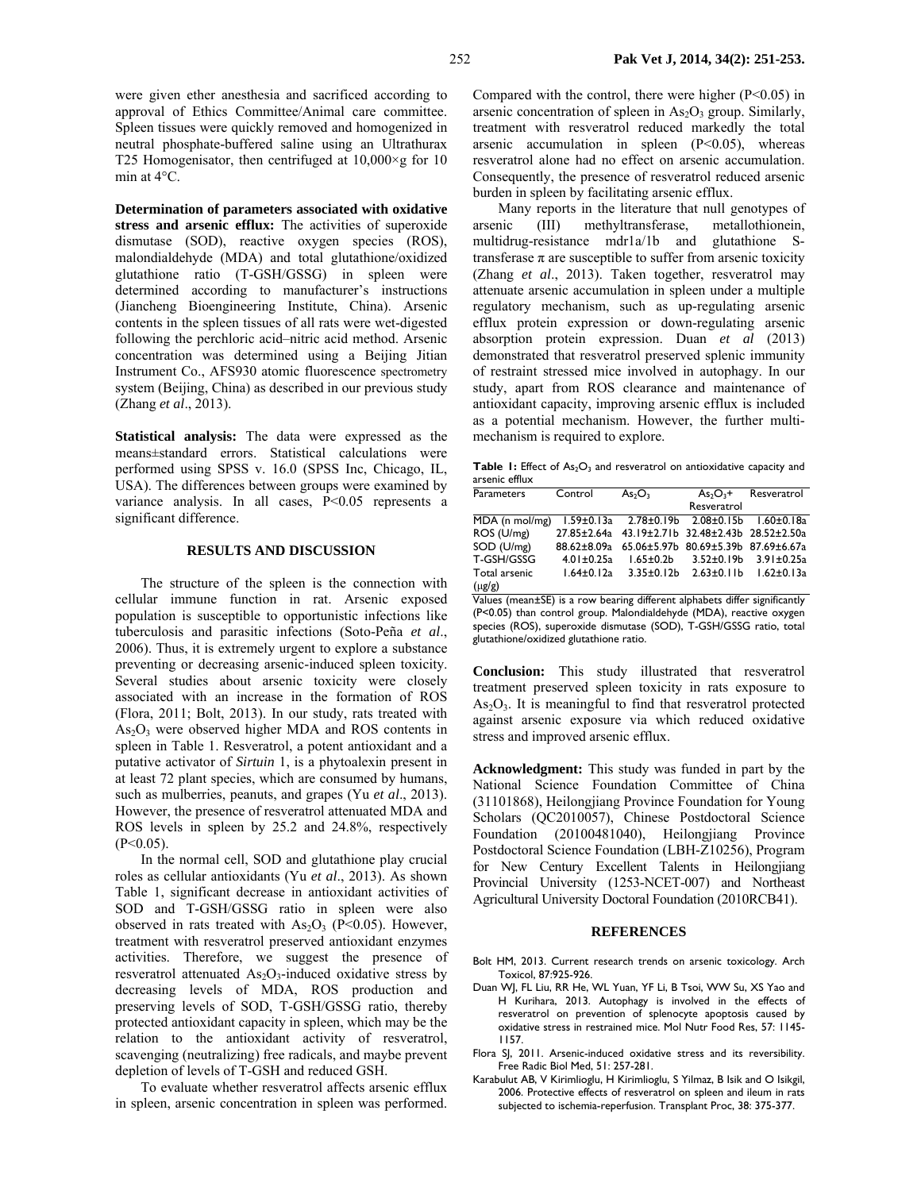were given ether anesthesia and sacrificed according to approval of Ethics Committee/Animal care committee. Spleen tissues were quickly removed and homogenized in neutral phosphate-buffered saline using an Ultrathurax T25 Homogenisator, then centrifuged at  $10,000 \times g$  for 10 min at 4°C.

**Determination of parameters associated with oxidative stress and arsenic efflux:** The activities of superoxide dismutase (SOD), reactive oxygen species (ROS), malondialdehyde (MDA) and total glutathione/oxidized glutathione ratio (T-GSH/GSSG) in spleen were determined according to manufacturer's instructions (Jiancheng Bioengineering Institute, China). Arsenic contents in the spleen tissues of all rats were wet-digested following the perchloric acid–nitric acid method. Arsenic concentration was determined using a Beijing Jitian Instrument Co., AFS930 atomic fluorescence spectrometry system (Beijing, China) as described in our previous study (Zhang *et al*., 2013).

**Statistical analysis:** The data were expressed as the means±standard errors. Statistical calculations were performed using SPSS v. 16.0 (SPSS Inc, Chicago, IL, USA). The differences between groups were examined by variance analysis. In all cases, P<0.05 represents a significant difference.

#### **RESULTS AND DISCUSSION**

The structure of the spleen is the connection with cellular immune function in rat. Arsenic exposed population is susceptible to opportunistic infections like tuberculosis and parasitic infections (Soto-Peña *et al*., 2006). Thus, it is extremely urgent to explore a substance preventing or decreasing arsenic-induced spleen toxicity. Several studies about arsenic toxicity were closely associated with an increase in the formation of ROS (Flora, 2011; Bolt, 2013). In our study, rats treated with  $As<sub>2</sub>O<sub>3</sub>$  were observed higher MDA and ROS contents in spleen in Table 1. Resveratrol, a potent antioxidant and a putative activator of *Sirtuin* 1, is a phytoalexin present in at least 72 plant species, which are consumed by humans, such as mulberries, peanuts, and grapes (Yu *et al*., 2013). However, the presence of resveratrol attenuated MDA and ROS levels in spleen by 25.2 and 24.8%, respectively  $(P<0.05)$ .

In the normal cell, SOD and glutathione play crucial roles as cellular antioxidants (Yu *et al*., 2013). As shown Table 1, significant decrease in antioxidant activities of SOD and T-GSH/GSSG ratio in spleen were also observed in rats treated with  $As_2O_3$  (P<0.05). However, treatment with resveratrol preserved antioxidant enzymes activities. Therefore, we suggest the presence of resveratrol attenuated  $As<sub>2</sub>O<sub>3</sub>$ -induced oxidative stress by decreasing levels of MDA, ROS production and preserving levels of SOD, T-GSH/GSSG ratio, thereby protected antioxidant capacity in spleen, which may be the relation to the antioxidant activity of resveratrol, scavenging (neutralizing) free radicals, and maybe prevent depletion of levels of T-GSH and reduced GSH.

To evaluate whether resveratrol affects arsenic efflux in spleen, arsenic concentration in spleen was performed.

Compared with the control, there were higher  $(P<0.05)$  in arsenic concentration of spleen in  $As<sub>2</sub>O<sub>3</sub>$  group. Similarly, treatment with resveratrol reduced markedly the total arsenic accumulation in spleen (P<0.05), whereas resveratrol alone had no effect on arsenic accumulation. Consequently, the presence of resveratrol reduced arsenic burden in spleen by facilitating arsenic efflux.

Many reports in the literature that null genotypes of arsenic (III) methyltransferase, metallothionein, multidrug-resistance mdr1a/1b and glutathione Stransferase  $\pi$  are susceptible to suffer from arsenic toxicity (Zhang *et al*., 2013). Taken together, resveratrol may attenuate arsenic accumulation in spleen under a multiple regulatory mechanism, such as up-regulating arsenic efflux protein expression or down-regulating arsenic absorption protein expression. Duan *et al* (2013) demonstrated that resveratrol preserved splenic immunity of restraint stressed mice involved in autophagy. In our study, apart from ROS clearance and maintenance of antioxidant capacity, improving arsenic efflux is included as a potential mechanism. However, the further multimechanism is required to explore.

Table 1: Effect of As<sub>2</sub>O<sub>3</sub> and resveratrol on antioxidative capacity and arsenic efflux

| <b>Parameters</b> | Control          | As <sub>2</sub> O <sub>3</sub>                  | $As2O3 +$                           | Resveratrol      |
|-------------------|------------------|-------------------------------------------------|-------------------------------------|------------------|
|                   |                  |                                                 | Resveratrol                         |                  |
| MDA (n mol/mg)    |                  | 1.59±0.13a 2.78±0.19b 2.08±0.15b 1.60±0.18a     |                                     |                  |
| ROS (U/mg)        |                  | 27.85±2.64a 43.19±2.71b 32.48±2.43b 28.52±2.50a |                                     |                  |
| SOD (U/mg)        | 88.62±8.09a      |                                                 | 65.06±5.97b 80.69±5.39b 87.69±6.67a |                  |
| T-GSH/GSSG        | $4.01 \pm 0.25a$ | $1.65 \pm 0.2b$                                 | $3.52 \pm 0.19 b$                   | 3.91±0.25a       |
| Total arsenic     | $1.64 \pm 0.12a$ | $3.35 \pm 0.12$ b                               | $2.63 \pm 0.11 b$                   | $1.62 \pm 0.13a$ |
| $(\mu g/g)$       |                  |                                                 |                                     |                  |

Values (mean±SE) is a row bearing different alphabets differ significantly (P<0.05) than control group. Malondialdehyde (MDA), reactive oxygen species (ROS), superoxide dismutase (SOD), T-GSH/GSSG ratio, total glutathione/oxidized glutathione ratio.

**Conclusion:** This study illustrated that resveratrol treatment preserved spleen toxicity in rats exposure to  $As<sub>2</sub>O<sub>3</sub>$ . It is meaningful to find that resveratrol protected against arsenic exposure via which reduced oxidative stress and improved arsenic efflux.

**Acknowledgment:** This study was funded in part by the National Science Foundation Committee of China (31101868), Heilongjiang Province Foundation for Young Scholars (QC2010057), Chinese Postdoctoral Science Foundation (20100481040), Heilongjiang Province Postdoctoral Science Foundation (LBH-Z10256), Program for New Century Excellent Talents in Heilongjiang Provincial University (1253-NCET-007) and Northeast Agricultural University Doctoral Foundation (2010RCB41).

#### **REFERENCES**

- Bolt HM, 2013. Current research trends on arsenic toxicology. Arch Toxicol, 87:925-926.
- Duan WJ, FL Liu, RR He, WL Yuan, YF Li, B Tsoi, WW Su, XS Yao and H Kurihara, 2013. Autophagy is involved in the effects of resveratrol on prevention of splenocyte apoptosis caused by oxidative stress in restrained mice. Mol Nutr Food Res, 57: 1145- 1157.
- Flora SJ, 2011. Arsenic-induced oxidative stress and its reversibility. Free Radic Biol Med, 51: 257-281.
- Karabulut AB, V Kirimlioglu, H Kirimlioglu, S Yilmaz, B Isik and O Isikgil, 2006. Protective effects of resveratrol on spleen and ileum in rats subjected to ischemia-reperfusion. Transplant Proc, 38: 375-377.